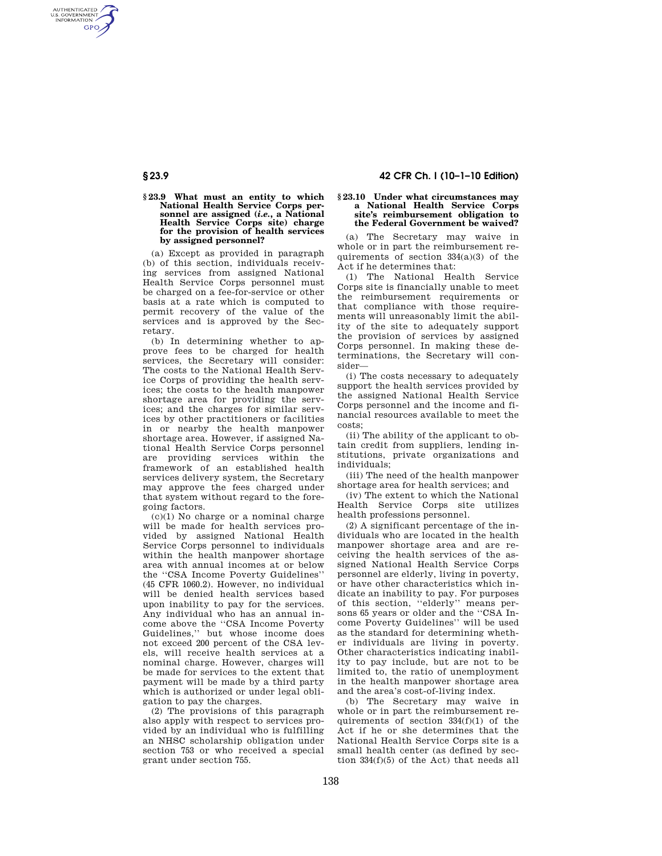AUTHENTICATED<br>U.S. GOVERNMENT<br>INFORMATION **GPO** 

## **§ 23.9 What must an entity to which National Health Service Corps personnel are assigned (***i.e.***, a National Health Service Corps site) charge for the provision of health services by assigned personnel?**

(a) Except as provided in paragraph (b) of this section, individuals receiving services from assigned National Health Service Corps personnel must be charged on a fee-for-service or other basis at a rate which is computed to permit recovery of the value of the services and is approved by the Secretary.

(b) In determining whether to approve fees to be charged for health services, the Secretary will consider: The costs to the National Health Service Corps of providing the health services; the costs to the health manpower shortage area for providing the services; and the charges for similar services by other practitioners or facilities in or nearby the health manpower shortage area. However, if assigned National Health Service Corps personnel are providing services within the framework of an established health services delivery system, the Secretary may approve the fees charged under that system without regard to the foregoing factors.

 $(c)(1)$  No charge or a nominal charge will be made for health services provided by assigned National Health Service Corps personnel to individuals within the health manpower shortage area with annual incomes at or below the ''CSA Income Poverty Guidelines'' (45 CFR 1060.2). However, no individual will be denied health services based upon inability to pay for the services. Any individual who has an annual income above the ''CSA Income Poverty Guidelines,'' but whose income does not exceed 200 percent of the CSA levels, will receive health services at a nominal charge. However, charges will be made for services to the extent that payment will be made by a third party which is authorized or under legal obligation to pay the charges.

(2) The provisions of this paragraph also apply with respect to services provided by an individual who is fulfilling an NHSC scholarship obligation under section 753 or who received a special grant under section 755.

# **§ 23.9 42 CFR Ch. I (10–1–10 Edition)**

## **§ 23.10 Under what circumstances may a National Health Service Corps site's reimbursement obligation to the Federal Government be waived?**

(a) The Secretary may waive in whole or in part the reimbursement requirements of section 334(a)(3) of the Act if he determines that:

(1) The National Health Service Corps site is financially unable to meet the reimbursement requirements or that compliance with those requirements will unreasonably limit the ability of the site to adequately support the provision of services by assigned Corps personnel. In making these determinations, the Secretary will consider—

(i) The costs necessary to adequately support the health services provided by the assigned National Health Service Corps personnel and the income and financial resources available to meet the costs;

(ii) The ability of the applicant to obtain credit from suppliers, lending institutions, private organizations and individuals;

(iii) The need of the health manpower shortage area for health services; and

(iv) The extent to which the National Health Service Corps site utilizes health professions personnel.

(2) A significant percentage of the individuals who are located in the health manpower shortage area and are receiving the health services of the assigned National Health Service Corps personnel are elderly, living in poverty, or have other characteristics which indicate an inability to pay. For purposes of this section, ''elderly'' means persons 65 years or older and the ''CSA Income Poverty Guidelines'' will be used as the standard for determining whether individuals are living in poverty. Other characteristics indicating inability to pay include, but are not to be limited to, the ratio of unemployment in the health manpower shortage area and the area's cost-of-living index.

(b) The Secretary may waive in whole or in part the reimbursement requirements of section 334(f)(1) of the Act if he or she determines that the National Health Service Corps site is a small health center (as defined by section 334(f)(5) of the Act) that needs all